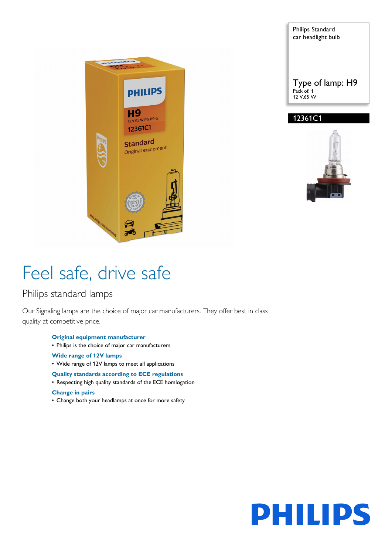

Philips Standard car headlight bulb Type of lamp: H9 Pack of: 1 12 V,65 W 12361C1



# Feel safe, drive safe

### Philips standard lamps

Our Signaling lamps are the choice of major car manufacturers. They offer best in class quality at competitive price.

- **Original equipment manufacturer**
- Philips is the choice of major car manufacturers
- **Wide range of 12V lamps**
- Wide range of 12V lamps to meet all applications

#### **Quality standards according to ECE regulations**

• Respecting high quality standards of the ECE homlogation

#### **Change in pairs**

• Change both your headlamps at once for more safety